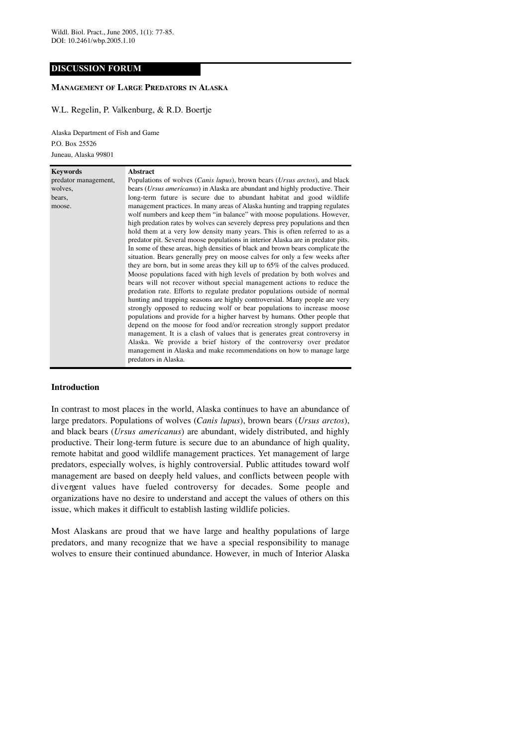# **DISCUSSION FORUM**

# **MANAGEMENT OF LARGE PREDATORS IN ALASKA**

## W.L. Regelin, P. Valkenburg, & R.D. Boertje

Alaska Department of Fish and Game P.O. Box 25526 Juneau, Alaska 99801

| <b>Keywords</b>      | <b>Abstract</b>                                                                     |
|----------------------|-------------------------------------------------------------------------------------|
| predator management, | Populations of wolves (Canis lupus), brown bears (Ursus arctos), and black          |
| wolves,              | bears <i>(Ursus americanus)</i> in Alaska are abundant and highly productive. Their |
| bears,               | long-term future is secure due to abundant habitat and good wildlife                |
| moose.               | management practices. In many areas of Alaska hunting and trapping regulates        |
|                      | wolf numbers and keep them "in balance" with moose populations. However,            |
|                      | high predation rates by wolves can severely depress prey populations and then       |
|                      | hold them at a very low density many years. This is often referred to as a          |
|                      | predator pit. Several moose populations in interior Alaska are in predator pits.    |
|                      | In some of these areas, high densities of black and brown bears complicate the      |
|                      | situation. Bears generally prey on moose calves for only a few weeks after          |
|                      | they are born, but in some areas they kill up to 65% of the calves produced.        |
|                      | Moose populations faced with high levels of predation by both wolves and            |
|                      | bears will not recover without special management actions to reduce the             |
|                      | predation rate. Efforts to regulate predator populations outside of normal          |
|                      | hunting and trapping seasons are highly controversial. Many people are very         |
|                      | strongly opposed to reducing wolf or bear populations to increase moose             |
|                      | populations and provide for a higher harvest by humans. Other people that           |
|                      | depend on the moose for food and/or recreation strongly support predator            |
|                      | management. It is a clash of values that is generates great controversy in          |
|                      | Alaska. We provide a brief history of the controversy over predator                 |
|                      | management in Alaska and make recommendations on how to manage large                |
|                      | predators in Alaska.                                                                |

## **Introduction**

In contrast to most places in the world, Alaska continues to have an abundance of large predators. Populations of wolves (*Canis lupus*), brown bears (*Ursus arctos*), and black bears (*Ursus americanus*) are abundant, widely distributed, and highly productive. Their long-term future is secure due to an abundance of high quality, remote habitat and good wildlife management practices. Yet management of large predators, especially wolves, is highly controversial. Public attitudes toward wolf management are based on deeply held values, and conflicts between people with divergent values have fueled controversy for decades. Some people and organizations have no desire to understand and accept the values of others on this issue, which makes it difficult to establish lasting wildlife policies.

Most Alaskans are proud that we have large and healthy populations of large predators, and many recognize that we have a special responsibility to manage wolves to ensure their continued abundance. However, in much of Interior Alaska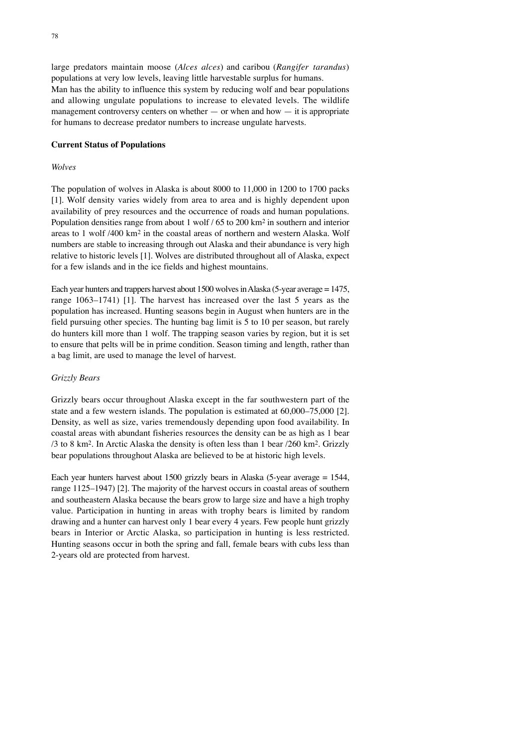large predators maintain moose (*Alces alces*) and caribou (*Rangifer tarandus*) populations at very low levels, leaving little harvestable surplus for humans. Man has the ability to influence this system by reducing wolf and bear populations and allowing ungulate populations to increase to elevated levels. The wildlife management controversy centers on whether  $-$  or when and how  $-$  it is appropriate for humans to decrease predator numbers to increase ungulate harvests.

### **Current Status of Populations**

#### *Wolves*

The population of wolves in Alaska is about 8000 to 11,000 in 1200 to 1700 packs [1]. Wolf density varies widely from area to area and is highly dependent upon availability of prey resources and the occurrence of roads and human populations. Population densities range from about 1 wolf / 65 to 200 km2 in southern and interior areas to 1 wolf /400 km2 in the coastal areas of northern and western Alaska. Wolf numbers are stable to increasing through out Alaska and their abundance is very high relative to historic levels [1]. Wolves are distributed throughout all of Alaska, expect for a few islands and in the ice fields and highest mountains.

Each year hunters and trappers harvest about  $1500$  wolves in Alaska (5-year average =  $1475$ , range 1063–1741) [1]. The harvest has increased over the last 5 years as the population has increased. Hunting seasons begin in August when hunters are in the field pursuing other species. The hunting bag limit is 5 to 10 per season, but rarely do hunters kill more than 1 wolf. The trapping season varies by region, but it is set to ensure that pelts will be in prime condition. Season timing and length, rather than a bag limit, are used to manage the level of harvest.

#### *Grizzly Bears*

Grizzly bears occur throughout Alaska except in the far southwestern part of the state and a few western islands. The population is estimated at 60,000–75,000 [2]. Density, as well as size, varies tremendously depending upon food availability. In coastal areas with abundant fisheries resources the density can be as high as 1 bear /3 to 8 km2. In Arctic Alaska the density is often less than 1 bear /260 km2. Grizzly bear populations throughout Alaska are believed to be at historic high levels.

Each year hunters harvest about 1500 grizzly bears in Alaska (5-year average = 1544, range 1125–1947) [2]. The majority of the harvest occurs in coastal areas of southern and southeastern Alaska because the bears grow to large size and have a high trophy value. Participation in hunting in areas with trophy bears is limited by random drawing and a hunter can harvest only 1 bear every 4 years. Few people hunt grizzly bears in Interior or Arctic Alaska, so participation in hunting is less restricted. Hunting seasons occur in both the spring and fall, female bears with cubs less than 2-years old are protected from harvest.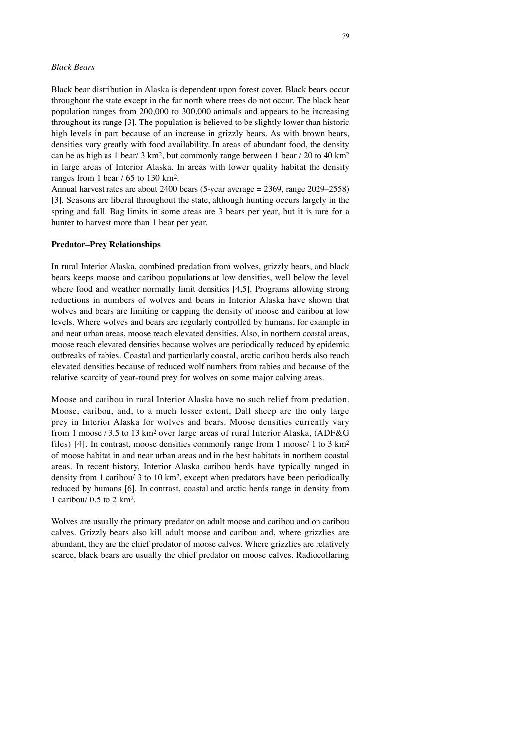## *Black Bears*

Black bear distribution in Alaska is dependent upon forest cover. Black bears occur throughout the state except in the far north where trees do not occur. The black bear population ranges from 200,000 to 300,000 animals and appears to be increasing throughout its range [3]. The population is believed to be slightly lower than historic high levels in part because of an increase in grizzly bears. As with brown bears, densities vary greatly with food availability. In areas of abundant food, the density can be as high as 1 bear/ 3 km<sup>2</sup>, but commonly range between 1 bear / 20 to 40 km<sup>2</sup> in large areas of Interior Alaska. In areas with lower quality habitat the density ranges from 1 bear / 65 to 130 km2.

Annual harvest rates are about 2400 bears (5-year average = 2369, range 2029–2558) [3]. Seasons are liberal throughout the state, although hunting occurs largely in the spring and fall. Bag limits in some areas are 3 bears per year, but it is rare for a hunter to harvest more than 1 bear per year.

### **Predator–Prey Relationships**

In rural Interior Alaska, combined predation from wolves, grizzly bears, and black bears keeps moose and caribou populations at low densities, well below the level where food and weather normally limit densities [4,5]. Programs allowing strong reductions in numbers of wolves and bears in Interior Alaska have shown that wolves and bears are limiting or capping the density of moose and caribou at low levels. Where wolves and bears are regularly controlled by humans, for example in and near urban areas, moose reach elevated densities. Also, in northern coastal areas, moose reach elevated densities because wolves are periodically reduced by epidemic outbreaks of rabies. Coastal and particularly coastal, arctic caribou herds also reach elevated densities because of reduced wolf numbers from rabies and because of the relative scarcity of year-round prey for wolves on some major calving areas.

Moose and caribou in rural Interior Alaska have no such relief from predation. Moose, caribou, and, to a much lesser extent, Dall sheep are the only large prey in Interior Alaska for wolves and bears. Moose densities currently vary from 1 moose / 3.5 to 13 km<sup>2</sup> over large areas of rural Interior Alaska, (ADF&G) files) [4]. In contrast, moose densities commonly range from 1 moose/ 1 to 3 km2 of moose habitat in and near urban areas and in the best habitats in northern coastal areas. In recent history, Interior Alaska caribou herds have typically ranged in density from 1 caribou/ 3 to 10 km2, except when predators have been periodically reduced by humans [6]. In contrast, coastal and arctic herds range in density from 1 caribou/ 0.5 to 2 km2.

Wolves are usually the primary predator on adult moose and caribou and on caribou calves. Grizzly bears also kill adult moose and caribou and, where grizzlies are abundant, they are the chief predator of moose calves. Where grizzlies are relatively scarce, black bears are usually the chief predator on moose calves. Radiocollaring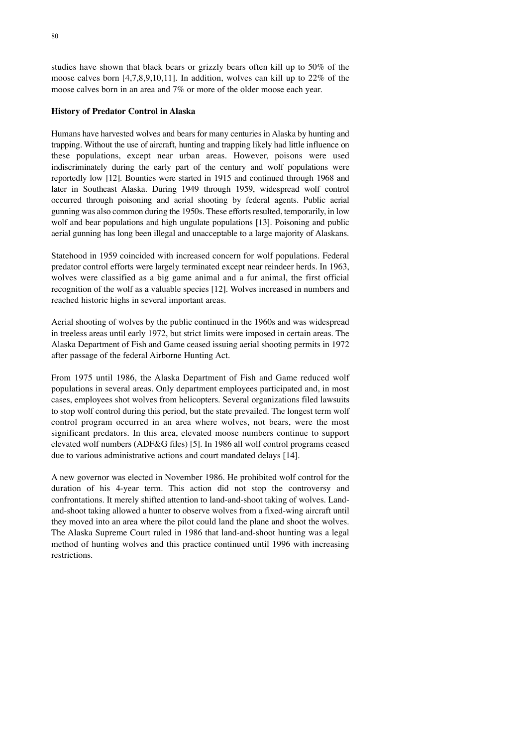studies have shown that black bears or grizzly bears often kill up to 50% of the moose calves born [4,7,8,9,10,11]. In addition, wolves can kill up to 22% of the moose calves born in an area and 7% or more of the older moose each year.

## **History of Predator Control in Alaska**

Humans have harvested wolves and bears for many centuries in Alaska by hunting and trapping. Without the use of aircraft, hunting and trapping likely had little influence on these populations, except near urban areas. However, poisons were used indiscriminately during the early part of the century and wolf populations were reportedly low [12]. Bounties were started in 1915 and continued through 1968 and later in Southeast Alaska. During 1949 through 1959, widespread wolf control occurred through poisoning and aerial shooting by federal agents. Public aerial gunning was also common during the 1950s. These efforts resulted, temporarily, in low wolf and bear populations and high ungulate populations [13]. Poisoning and public aerial gunning has long been illegal and unacceptable to a large majority of Alaskans.

Statehood in 1959 coincided with increased concern for wolf populations. Federal predator control efforts were largely terminated except near reindeer herds. In 1963, wolves were classified as a big game animal and a fur animal, the first official recognition of the wolf as a valuable species [12]. Wolves increased in numbers and reached historic highs in several important areas.

Aerial shooting of wolves by the public continued in the 1960s and was widespread in treeless areas until early 1972, but strict limits were imposed in certain areas. The Alaska Department of Fish and Game ceased issuing aerial shooting permits in 1972 after passage of the federal Airborne Hunting Act.

From 1975 until 1986, the Alaska Department of Fish and Game reduced wolf populations in several areas. Only department employees participated and, in most cases, employees shot wolves from helicopters. Several organizations filed lawsuits to stop wolf control during this period, but the state prevailed. The longest term wolf control program occurred in an area where wolves, not bears, were the most significant predators. In this area, elevated moose numbers continue to support elevated wolf numbers (ADF&G files) [5]. In 1986 all wolf control programs ceased due to various administrative actions and court mandated delays [14].

A new governor was elected in November 1986. He prohibited wolf control for the duration of his 4-year term. This action did not stop the controversy and confrontations. It merely shifted attention to land-and-shoot taking of wolves. Landand-shoot taking allowed a hunter to observe wolves from a fixed-wing aircraft until they moved into an area where the pilot could land the plane and shoot the wolves. The Alaska Supreme Court ruled in 1986 that land-and-shoot hunting was a legal method of hunting wolves and this practice continued until 1996 with increasing restrictions.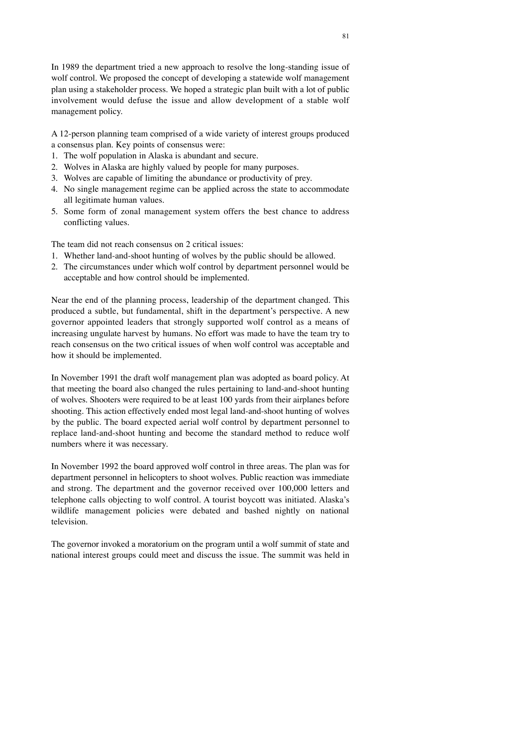In 1989 the department tried a new approach to resolve the long-standing issue of wolf control. We proposed the concept of developing a statewide wolf management plan using a stakeholder process. We hoped a strategic plan built with a lot of public involvement would defuse the issue and allow development of a stable wolf management policy.

A 12-person planning team comprised of a wide variety of interest groups produced a consensus plan. Key points of consensus were:

- 1. The wolf population in Alaska is abundant and secure.
- 2. Wolves in Alaska are highly valued by people for many purposes.
- 3. Wolves are capable of limiting the abundance or productivity of prey.
- 4. No single management regime can be applied across the state to accommodate all legitimate human values.
- 5. Some form of zonal management system offers the best chance to address conflicting values.

The team did not reach consensus on 2 critical issues:

- 1. Whether land-and-shoot hunting of wolves by the public should be allowed.
- 2. The circumstances under which wolf control by department personnel would be acceptable and how control should be implemented.

Near the end of the planning process, leadership of the department changed. This produced a subtle, but fundamental, shift in the department's perspective. A new governor appointed leaders that strongly supported wolf control as a means of increasing ungulate harvest by humans. No effort was made to have the team try to reach consensus on the two critical issues of when wolf control was acceptable and how it should be implemented.

In November 1991 the draft wolf management plan was adopted as board policy. At that meeting the board also changed the rules pertaining to land-and-shoot hunting of wolves. Shooters were required to be at least 100 yards from their airplanes before shooting. This action effectively ended most legal land-and-shoot hunting of wolves by the public. The board expected aerial wolf control by department personnel to replace land-and-shoot hunting and become the standard method to reduce wolf numbers where it was necessary.

In November 1992 the board approved wolf control in three areas. The plan was for department personnel in helicopters to shoot wolves. Public reaction was immediate and strong. The department and the governor received over 100,000 letters and telephone calls objecting to wolf control. A tourist boycott was initiated. Alaska's wildlife management policies were debated and bashed nightly on national television.

The governor invoked a moratorium on the program until a wolf summit of state and national interest groups could meet and discuss the issue. The summit was held in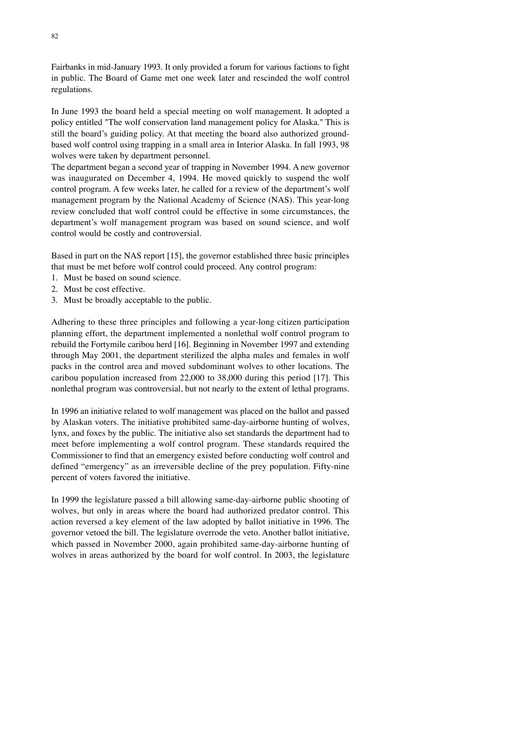Fairbanks in mid-January 1993. It only provided a forum for various factions to fight in public. The Board of Game met one week later and rescinded the wolf control regulations.

In June 1993 the board held a special meeting on wolf management. It adopted a policy entitled "The wolf conservation land management policy for Alaska." This is still the board's guiding policy. At that meeting the board also authorized groundbased wolf control using trapping in a small area in Interior Alaska. In fall 1993, 98 wolves were taken by department personnel.

The department began a second year of trapping in November 1994. A new governor was inaugurated on December 4, 1994. He moved quickly to suspend the wolf control program. A few weeks later, he called for a review of the department's wolf management program by the National Academy of Science (NAS). This year-long review concluded that wolf control could be effective in some circumstances, the department's wolf management program was based on sound science, and wolf control would be costly and controversial.

Based in part on the NAS report [15], the governor established three basic principles that must be met before wolf control could proceed. Any control program:

- 1. Must be based on sound science.
- 2. Must be cost effective.
- 3. Must be broadly acceptable to the public.

Adhering to these three principles and following a year-long citizen participation planning effort, the department implemented a nonlethal wolf control program to rebuild the Fortymile caribou herd [16]. Beginning in November 1997 and extending through May 2001, the department sterilized the alpha males and females in wolf packs in the control area and moved subdominant wolves to other locations. The caribou population increased from 22,000 to 38,000 during this period [17]. This nonlethal program was controversial, but not nearly to the extent of lethal programs.

In 1996 an initiative related to wolf management was placed on the ballot and passed by Alaskan voters. The initiative prohibited same-day-airborne hunting of wolves, lynx, and foxes by the public. The initiative also set standards the department had to meet before implementing a wolf control program. These standards required the Commissioner to find that an emergency existed before conducting wolf control and defined "emergency" as an irreversible decline of the prey population. Fifty-nine percent of voters favored the initiative.

In 1999 the legislature passed a bill allowing same-day-airborne public shooting of wolves, but only in areas where the board had authorized predator control. This action reversed a key element of the law adopted by ballot initiative in 1996. The governor vetoed the bill. The legislature overrode the veto. Another ballot initiative, which passed in November 2000, again prohibited same-day-airborne hunting of wolves in areas authorized by the board for wolf control. In 2003, the legislature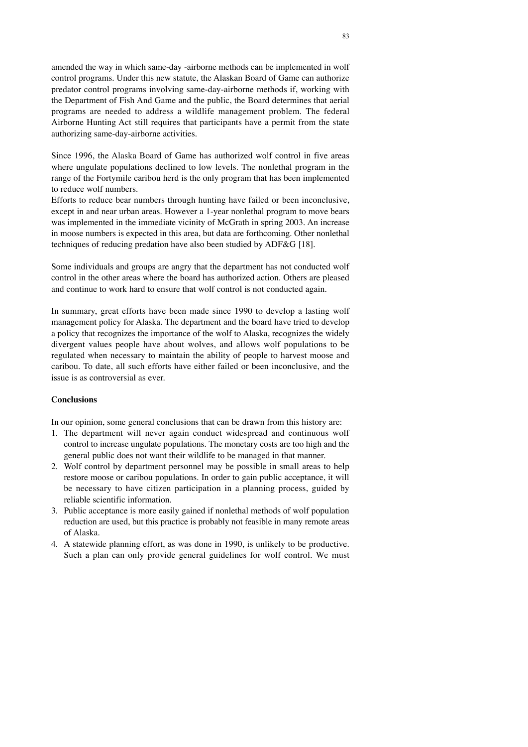amended the way in which same-day -airborne methods can be implemented in wolf control programs. Under this new statute, the Alaskan Board of Game can authorize predator control programs involving same-day-airborne methods if, working with the Department of Fish And Game and the public, the Board determines that aerial programs are needed to address a wildlife management problem. The federal Airborne Hunting Act still requires that participants have a permit from the state authorizing same-day-airborne activities.

Since 1996, the Alaska Board of Game has authorized wolf control in five areas where ungulate populations declined to low levels. The nonlethal program in the range of the Fortymile caribou herd is the only program that has been implemented to reduce wolf numbers.

Efforts to reduce bear numbers through hunting have failed or been inconclusive, except in and near urban areas. However a 1-year nonlethal program to move bears was implemented in the immediate vicinity of McGrath in spring 2003. An increase in moose numbers is expected in this area, but data are forthcoming. Other nonlethal techniques of reducing predation have also been studied by ADF&G [18].

Some individuals and groups are angry that the department has not conducted wolf control in the other areas where the board has authorized action. Others are pleased and continue to work hard to ensure that wolf control is not conducted again.

In summary, great efforts have been made since 1990 to develop a lasting wolf management policy for Alaska. The department and the board have tried to develop a policy that recognizes the importance of the wolf to Alaska, recognizes the widely divergent values people have about wolves, and allows wolf populations to be regulated when necessary to maintain the ability of people to harvest moose and caribou. To date, all such efforts have either failed or been inconclusive, and the issue is as controversial as ever.

# **Conclusions**

In our opinion, some general conclusions that can be drawn from this history are:

- 1. The department will never again conduct widespread and continuous wolf control to increase ungulate populations. The monetary costs are too high and the general public does not want their wildlife to be managed in that manner.
- 2. Wolf control by department personnel may be possible in small areas to help restore moose or caribou populations. In order to gain public acceptance, it will be necessary to have citizen participation in a planning process, guided by reliable scientific information.
- 3. Public acceptance is more easily gained if nonlethal methods of wolf population reduction are used, but this practice is probably not feasible in many remote areas of Alaska.
- 4. A statewide planning effort, as was done in 1990, is unlikely to be productive. Such a plan can only provide general guidelines for wolf control. We must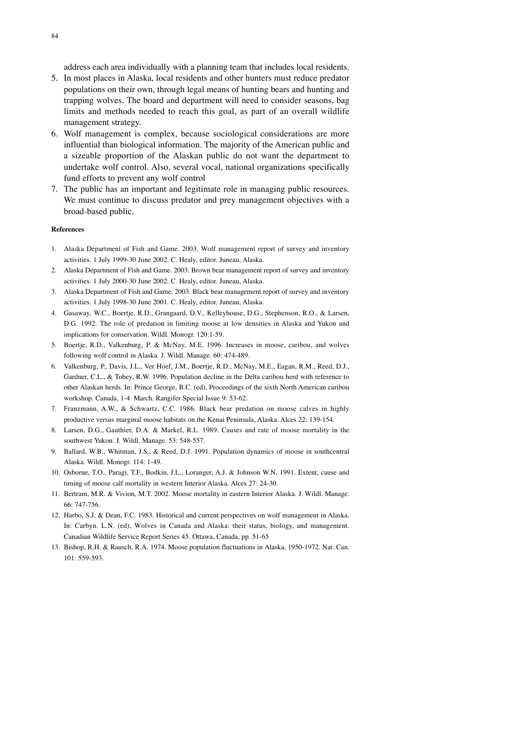address each area individually with a planning team that includes local residents.

- 5. In most places in Alaska, local residents and other hunters must reduce predator populations on their own, through legal means of hunting bears and hunting and trapping wolves. The board and department will need to consider seasons, bag limits and methods needed to reach this goal, as part of an overall wildlife management strategy.
- 6. Wolf management is complex, because sociological considerations are more influential than biological information. The majority of the American public and a sizeable proportion of the Alaskan public do not want the department to undertake wolf control. Also, several vocal, national organizations specifically fund efforts to prevent any wolf control
- 7. The public has an important and legitimate role in managing public resources. We must continue to discuss predator and prey management objectives with a broad-based public.

### **References**

- 1. Alaska Department of Fish and Game. 2003. Wolf management report of survey and inventory activities. 1 July 1999-30 June 2002. C. Healy, editor. Juneau, Alaska.
- 2. Alaska Department of Fish and Game. 2003. Brown bear management report of survey and inventory activities. 1 July 2000-30 June 2002. C. Healy, editor. Juneau, Alaska.
- 3. Alaska Department of Fish and Game. 2003. Black bear management report of survey and inventory activities. 1 July 1998-30 June 2001. C. Healy, editor. Juneau, Alaska.
- 4. Gasaway, W.C., Boertje, R.D., Grangaard, D.V., Kelleyhouse, D.G., Stephenson, R.O., & Larsen, D.G. 1992. The role of predation in limiting moose at low densities in Alaska and Yukon and implications for conservation. Wildl. Monogr. 120:1-59.
- 5. Boertje, R.D., Valkenburg, P. & McNay, M.E. 1996. Increases in moose, caribou, and wolves following wolf control in Alaska. J. Wildl. Manage. 60: 474-489.
- 6. Valkenburg, P., Davis, J.L., Ver Hoef, J.M., Boertje, R.D., McNay, M.E., Eagan, R.M., Reed, D.J., Gardner, C.L., & Tobey, R.W. 1996. Population decline in the Delta caribou herd with reference to other Alaskan herds. In: Prince George, B.C. (ed), Proceedings of the sixth North American caribou workshop. Canada, 1-4 March. Rangifer Special Issue 9: 53-62.
- 7. Franzmann, A.W., & Schwartz, C.C. 1986. Black bear predation on moose calves in highly productive versus marginal moose habitats on the Kenai Peninsula, Alaska. Alces 22: 139-154.
- 8. Larsen, D.G., Gauthier, D.A. & Markel, R.L. 1989. Causes and rate of moose mortality in the southwest Yukon. J. Wildl. Manage. 53: 548-557.
- 9. Ballard, W.B., Whitman, J.S., & Reed, D.J. 1991. Population dynamics of moose in southcentral Alaska. Wildl. Monogr. 114: 1-49.
- 10. Osborne, T.O., Paragi, T.F., Bodkin, J.L., Loranger, A.J. & Johnson W.N. 1991. Extent, cause and timing of moose calf mortality in western Interior Alaska. Alces 27: 24-30.
- 11. Bertram, M.R. & Vivion, M.T. 2002. Moose mortality in eastern Interior Alaska. J. Wildl. Manage. 66: 747-756.
- 12. Harbo, S.J. & Dean, F.C. 1983. Historical and current perspectives on wolf management in Alaska. In: Carbyn. L.N. (ed), Wolves in Canada and Alaska: their status, biology, and management. Canadian Wildlife Service Report Series 45. Ottawa, Canada, pp. 51-65
- 13. Bishop, R.H. & Rausch, R.A. 1974. Moose population fluctuations in Alaska, 1950-1972. Nat. Can. 101: 559-593.